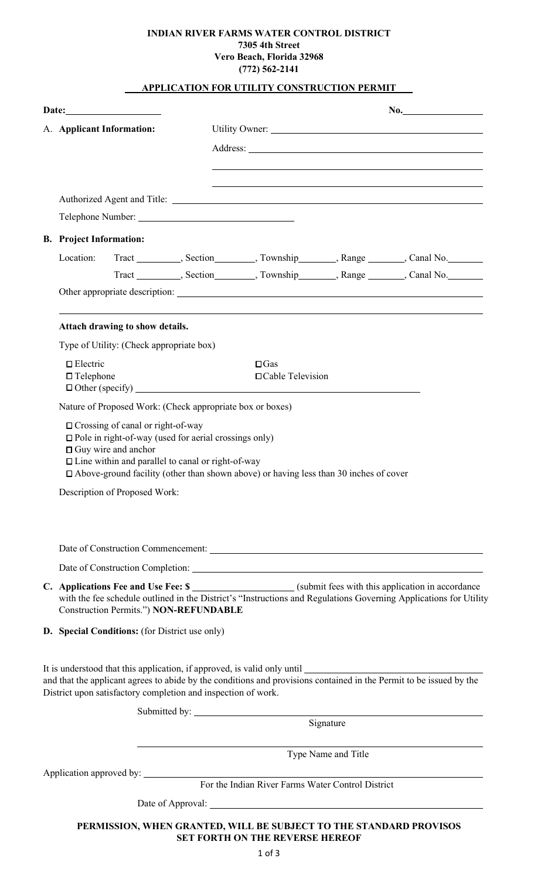## **INDIAN RIVER FARMS WATER CONTROL DISTRICT 7305 4th Street Vero Beach, Florida 32968 (772) 562-2141**

# **. APPLICATION FOR UTILITY CONSTRUCTION PERMIT .**

|  |                                                                                                                                                                                                                                                                                |                                                     |                                                   |                     | No.                                                                              |
|--|--------------------------------------------------------------------------------------------------------------------------------------------------------------------------------------------------------------------------------------------------------------------------------|-----------------------------------------------------|---------------------------------------------------|---------------------|----------------------------------------------------------------------------------|
|  | A. Applicant Information:                                                                                                                                                                                                                                                      |                                                     |                                                   |                     |                                                                                  |
|  |                                                                                                                                                                                                                                                                                |                                                     |                                                   |                     |                                                                                  |
|  |                                                                                                                                                                                                                                                                                |                                                     |                                                   |                     |                                                                                  |
|  |                                                                                                                                                                                                                                                                                |                                                     |                                                   |                     |                                                                                  |
|  |                                                                                                                                                                                                                                                                                |                                                     |                                                   |                     |                                                                                  |
|  |                                                                                                                                                                                                                                                                                |                                                     |                                                   |                     |                                                                                  |
|  | <b>B.</b> Project Information:                                                                                                                                                                                                                                                 |                                                     |                                                   |                     |                                                                                  |
|  | Location:                                                                                                                                                                                                                                                                      |                                                     |                                                   |                     | Tract __________, Section_________, Township_________, Range ________, Canal No. |
|  |                                                                                                                                                                                                                                                                                |                                                     |                                                   |                     | Tract _________, Section________, Township________, Range ________, Canal No.    |
|  |                                                                                                                                                                                                                                                                                |                                                     |                                                   |                     |                                                                                  |
|  | Attach drawing to show details.                                                                                                                                                                                                                                                |                                                     |                                                   |                     |                                                                                  |
|  | Type of Utility: (Check appropriate box)                                                                                                                                                                                                                                       |                                                     |                                                   |                     |                                                                                  |
|  | $\square$ Electric                                                                                                                                                                                                                                                             |                                                     | $\square$ Gas                                     |                     |                                                                                  |
|  | $\Box$ Telephone                                                                                                                                                                                                                                                               | □ Cable Television<br>$\Box$ Other (specify) $\Box$ |                                                   |                     |                                                                                  |
|  | Nature of Proposed Work: (Check appropriate box or boxes)                                                                                                                                                                                                                      |                                                     |                                                   |                     |                                                                                  |
|  | $\Box$ Pole in right-of-way (used for aerial crossings only)<br>$\Box$ Guy wire and anchor<br>$\Box$ Line within and parallel to canal or right-of-way                                                                                                                         |                                                     |                                                   |                     |                                                                                  |
|  | $\Box$ Above-ground facility (other than shown above) or having less than 30 inches of cover<br>Description of Proposed Work:                                                                                                                                                  |                                                     |                                                   |                     |                                                                                  |
|  |                                                                                                                                                                                                                                                                                |                                                     |                                                   |                     |                                                                                  |
|  |                                                                                                                                                                                                                                                                                |                                                     |                                                   |                     |                                                                                  |
|  | C. Applications Fee and Use Fee: \$ ____________________(submit fees with this application in accordance<br>with the fee schedule outlined in the District's "Instructions and Regulations Governing Applications for Utility<br><b>Construction Permits.") NON-REFUNDABLE</b> |                                                     |                                                   |                     |                                                                                  |
|  | D. Special Conditions: (for District use only)                                                                                                                                                                                                                                 |                                                     |                                                   |                     |                                                                                  |
|  | and that the applicant agrees to abide by the conditions and provisions contained in the Permit to be issued by the<br>District upon satisfactory completion and inspection of work.                                                                                           |                                                     |                                                   |                     |                                                                                  |
|  |                                                                                                                                                                                                                                                                                |                                                     |                                                   |                     |                                                                                  |
|  |                                                                                                                                                                                                                                                                                |                                                     |                                                   | Signature           |                                                                                  |
|  |                                                                                                                                                                                                                                                                                |                                                     |                                                   | Type Name and Title |                                                                                  |
|  |                                                                                                                                                                                                                                                                                |                                                     |                                                   |                     |                                                                                  |
|  |                                                                                                                                                                                                                                                                                |                                                     | For the Indian River Farms Water Control District |                     |                                                                                  |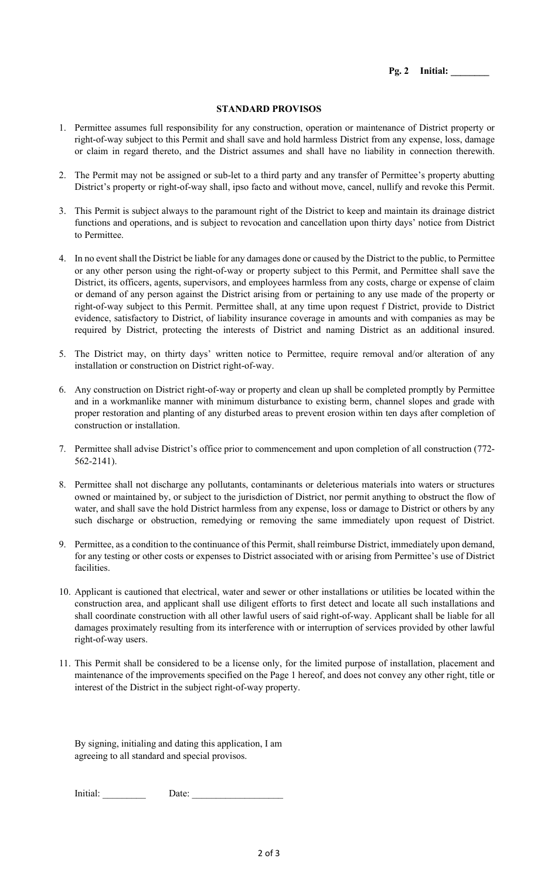**Pg. 2 Initial: \_\_\_\_\_\_\_\_** 

#### **STANDARD PROVISOS**

- 1. Permittee assumes full responsibility for any construction, operation or maintenance of District property or right-of-way subject to this Permit and shall save and hold harmless District from any expense, loss, damage or claim in regard thereto, and the District assumes and shall have no liability in connection therewith.
- 2. The Permit may not be assigned or sub-let to a third party and any transfer of Permittee's property abutting District's property or right-of-way shall, ipso facto and without move, cancel, nullify and revoke this Permit.
- 3. This Permit is subject always to the paramount right of the District to keep and maintain its drainage district functions and operations, and is subject to revocation and cancellation upon thirty days' notice from District to Permittee.
- 4. In no event shall the District be liable for any damages done or caused by the District to the public, to Permittee or any other person using the right-of-way or property subject to this Permit, and Permittee shall save the District, its officers, agents, supervisors, and employees harmless from any costs, charge or expense of claim or demand of any person against the District arising from or pertaining to any use made of the property or right-of-way subject to this Permit. Permittee shall, at any time upon request f District, provide to District evidence, satisfactory to District, of liability insurance coverage in amounts and with companies as may be required by District, protecting the interests of District and naming District as an additional insured.
- 5. The District may, on thirty days' written notice to Permittee, require removal and/or alteration of any installation or construction on District right-of-way.
- 6. Any construction on District right-of-way or property and clean up shall be completed promptly by Permittee and in a workmanlike manner with minimum disturbance to existing berm, channel slopes and grade with proper restoration and planting of any disturbed areas to prevent erosion within ten days after completion of construction or installation.
- 7. Permittee shall advise District's office prior to commencement and upon completion of all construction (772- 562-2141).
- 8. Permittee shall not discharge any pollutants, contaminants or deleterious materials into waters or structures owned or maintained by, or subject to the jurisdiction of District, nor permit anything to obstruct the flow of water, and shall save the hold District harmless from any expense, loss or damage to District or others by any such discharge or obstruction, remedying or removing the same immediately upon request of District.
- 9. Permittee, as a condition to the continuance of this Permit, shall reimburse District, immediately upon demand, for any testing or other costs or expenses to District associated with or arising from Permittee's use of District facilities.
- 10. Applicant is cautioned that electrical, water and sewer or other installations or utilities be located within the construction area, and applicant shall use diligent efforts to first detect and locate all such installations and shall coordinate construction with all other lawful users of said right-of-way. Applicant shall be liable for all damages proximately resulting from its interference with or interruption of services provided by other lawful right-of-way users.
- 11. This Permit shall be considered to be a license only, for the limited purpose of installation, placement and maintenance of the improvements specified on the Page 1 hereof, and does not convey any other right, title or interest of the District in the subject right-of-way property.

By signing, initialing and dating this application, I am agreeing to all standard and special provisos.

Initial: Date: